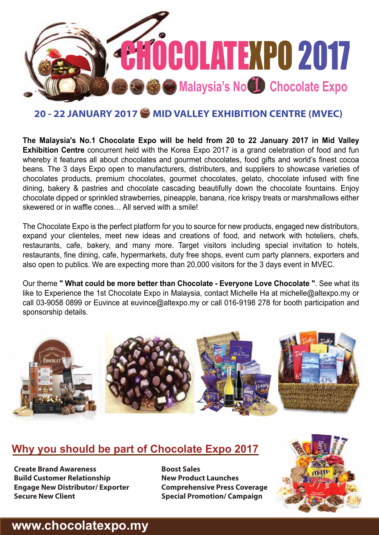

### **20 - 22 JANUARY 2017 MID VALLEY EXHIBITION CENTRE (MVEC)**

**The Malaysia's No.1 Chocolate Expo will be held from 20 to 22 January 2017 in Mid Valley Exhibition Centre** concurrent held with the Korea Expo 2017 is a grand celebration of food and fun whereby it features all about chocolates and gourmet chocolates, food gifts and world's finest cocoa beans. The 3 days Expo open to manufacturers, distributers, and suppliers to showcase varieties of chocolates products, premium chocolates, gourmet chocolates, gelato, chocolate infused with fine dining, bakery & pastries and chocolate cascading beautifully down the chocolate fountains. Enjoy chocolate dipped or sprinkled strawberries, pineapple, banana, rice krispy treats or marshmallows either skewered or in waffle cones… All served with a smile!

The Chocolate Expo is the perfect platform for you to source for new products, engaged new distributors, expand your clienteles, meet new ideas and creations of food, and network with hoteliers, chefs, restaurants, cafe, bakery, and many more. Target visitors including special invitation to hotels, restaurants, fine dining, cafe, hypermarkets, duty free shops, event cum party planners, exporters and also open to publics. We are expecting more than 20,000 visitors for the 3 days event in MVEC.

Our theme **" What could be more better than Chocolate - Everyone Love Chocolate "**. See what its like to Experience the 1st Chocolate Expo in Malaysia, contact Michelle Ha at michelle@altexpo.my or call 03-9058 0899 or Euvince at euvince@altexpo.my or call 016-9198 278 for booth participation and sponsorship details.



### **Why you should be part of Chocolate Expo 2017**

**Create Brand Awareness Build Customer Relationship Engage New Distributor/ Exporter Secure New Client**

**Boost Sales New Product Launches Comprehensive Press Coverage Special Promotion/ Campaign**



## **www.chocolatexpo.my**